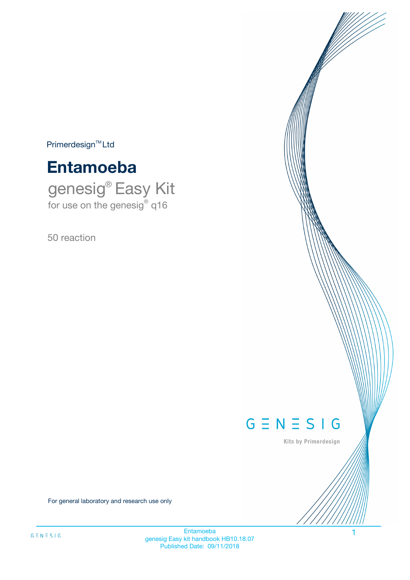$Primerdesign^{\text{TM}}Ltd$ 

# **Entamoeba**

genesig® Easy Kit for use on the genesig® q16

50 reaction



Kits by Primerdesign

For general laboratory and research use only

Entamoeba 1 genesig Easy kit handbook HB10.18.07 Published Date: 09/11/2018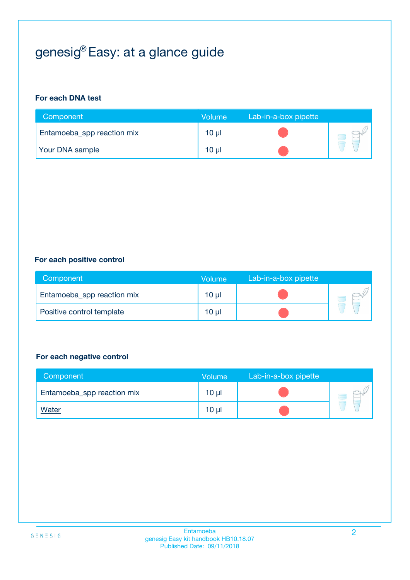# genesig® Easy: at a glance guide

#### **For each DNA test**

| Component                  | <b>Volume</b> | Lab-in-a-box pipette |  |
|----------------------------|---------------|----------------------|--|
| Entamoeba_spp reaction mix | $10 \mu$      |                      |  |
| <b>Your DNA sample</b>     | 10 µl         |                      |  |

#### **For each positive control**

| Component                  | Volume          | Lab-in-a-box pipette |  |
|----------------------------|-----------------|----------------------|--|
| Entamoeba_spp reaction mix | 10 <sub>µ</sub> |                      |  |
| Positive control template  | $10 \mu$        |                      |  |

#### **For each negative control**

| Component                  | Volume          | Lab-in-a-box pipette |  |
|----------------------------|-----------------|----------------------|--|
| Entamoeba_spp reaction mix | $10 \mu$        |                      |  |
| <u>Water</u>               | 10 <sub>µ</sub> |                      |  |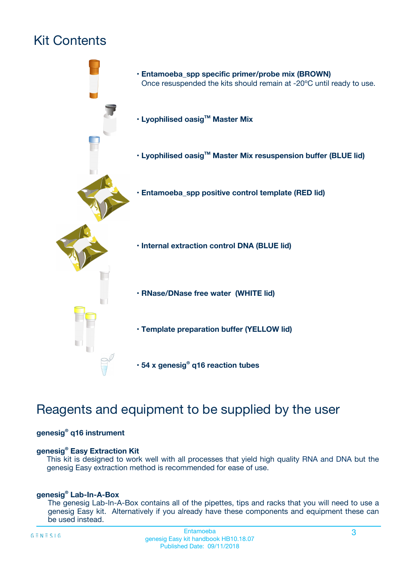# Kit Contents



## Reagents and equipment to be supplied by the user

#### **genesig® q16 instrument**

#### **genesig® Easy Extraction Kit**

This kit is designed to work well with all processes that yield high quality RNA and DNA but the genesig Easy extraction method is recommended for ease of use.

#### **genesig® Lab-In-A-Box**

The genesig Lab-In-A-Box contains all of the pipettes, tips and racks that you will need to use a genesig Easy kit. Alternatively if you already have these components and equipment these can be used instead.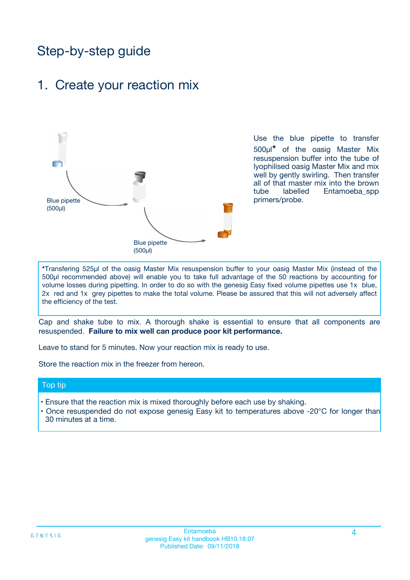## Step-by-step guide

### 1. Create your reaction mix



Use the blue pipette to transfer 500µl**\*** of the oasig Master Mix resuspension buffer into the tube of lyophilised oasig Master Mix and mix well by gently swirling. Then transfer all of that master mix into the brown tube labelled Entamoeba\_spp primers/probe.

**\***Transfering 525µl of the oasig Master Mix resuspension buffer to your oasig Master Mix (instead of the 500µl recommended above) will enable you to take full advantage of the 50 reactions by accounting for volume losses during pipetting. In order to do so with the genesig Easy fixed volume pipettes use 1x blue, 2x red and 1x grey pipettes to make the total volume. Please be assured that this will not adversely affect the efficiency of the test.

Cap and shake tube to mix. A thorough shake is essential to ensure that all components are resuspended. **Failure to mix well can produce poor kit performance.**

Leave to stand for 5 minutes. Now your reaction mix is ready to use.

Store the reaction mix in the freezer from hereon.

#### Top tip

- Ensure that the reaction mix is mixed thoroughly before each use by shaking.
- Once resuspended do not expose genesig Easy kit to temperatures above -20°C for longer than 30 minutes at a time.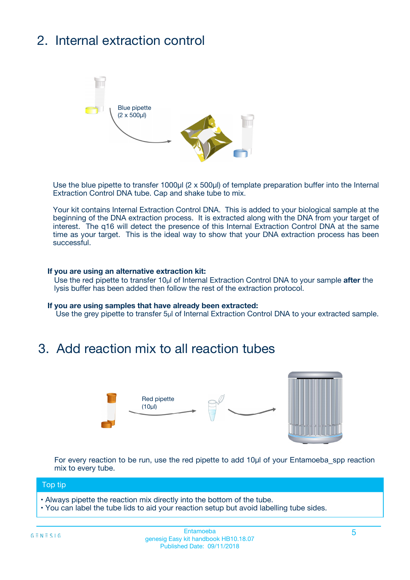# 2. Internal extraction control



Use the blue pipette to transfer 1000µl (2 x 500µl) of template preparation buffer into the Internal Extraction Control DNA tube. Cap and shake tube to mix.

Your kit contains Internal Extraction Control DNA. This is added to your biological sample at the beginning of the DNA extraction process. It is extracted along with the DNA from your target of interest. The q16 will detect the presence of this Internal Extraction Control DNA at the same time as your target. This is the ideal way to show that your DNA extraction process has been successful.

#### **If you are using an alternative extraction kit:**

Use the red pipette to transfer 10µl of Internal Extraction Control DNA to your sample **after** the lysis buffer has been added then follow the rest of the extraction protocol.

#### **If you are using samples that have already been extracted:**

Use the grey pipette to transfer 5µl of Internal Extraction Control DNA to your extracted sample.

### 3. Add reaction mix to all reaction tubes



For every reaction to be run, use the red pipette to add 10µl of your Entamoeba\_spp reaction mix to every tube.

#### Top tip

- Always pipette the reaction mix directly into the bottom of the tube.
- You can label the tube lids to aid your reaction setup but avoid labelling tube sides.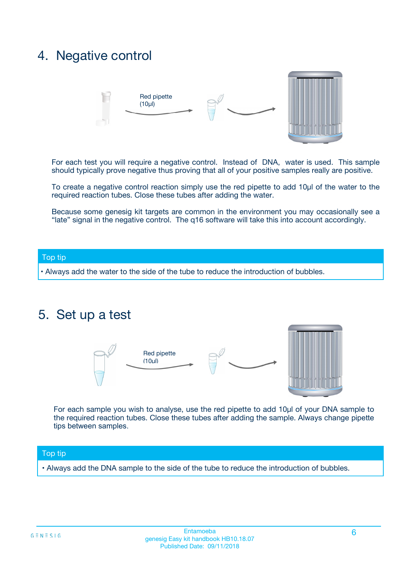### 4. Negative control



For each test you will require a negative control. Instead of DNA, water is used. This sample should typically prove negative thus proving that all of your positive samples really are positive.

To create a negative control reaction simply use the red pipette to add 10µl of the water to the required reaction tubes. Close these tubes after adding the water.

Because some genesig kit targets are common in the environment you may occasionally see a "late" signal in the negative control. The q16 software will take this into account accordingly.

#### Top tip

**•** Always add the water to the side of the tube to reduce the introduction of bubbles.

### 5. Set up a test



For each sample you wish to analyse, use the red pipette to add 10µl of your DNA sample to the required reaction tubes. Close these tubes after adding the sample. Always change pipette tips between samples.

#### Top tip

**•** Always add the DNA sample to the side of the tube to reduce the introduction of bubbles.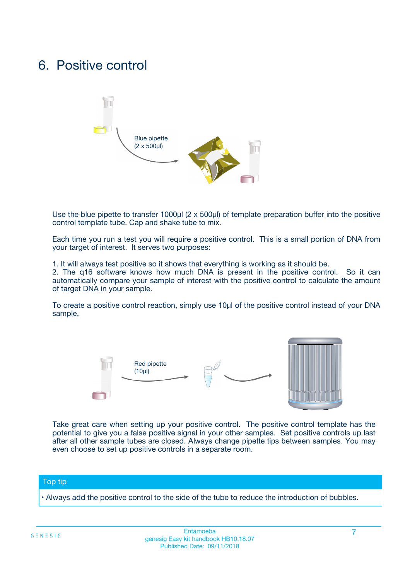### 6. Positive control



Use the blue pipette to transfer 1000µl (2 x 500µl) of template preparation buffer into the positive control template tube. Cap and shake tube to mix.

Each time you run a test you will require a positive control. This is a small portion of DNA from your target of interest. It serves two purposes:

1. It will always test positive so it shows that everything is working as it should be.

2. The q16 software knows how much DNA is present in the positive control. So it can automatically compare your sample of interest with the positive control to calculate the amount of target DNA in your sample.

To create a positive control reaction, simply use 10µl of the positive control instead of your DNA sample.



Take great care when setting up your positive control. The positive control template has the potential to give you a false positive signal in your other samples. Set positive controls up last after all other sample tubes are closed. Always change pipette tips between samples. You may even choose to set up positive controls in a separate room.

#### Top tip

**•** Always add the positive control to the side of the tube to reduce the introduction of bubbles.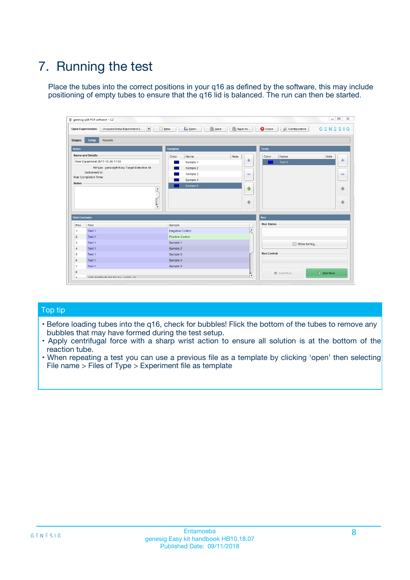# 7. Running the test

Place the tubes into the correct positions in your q16 as defined by the software, this may include positioning of empty tubes to ensure that the q16 lid is balanced. The run can then be started.

| qenesig q16 PCR software - 1.2                                               |                                   | $\Box$                                                                                          |
|------------------------------------------------------------------------------|-----------------------------------|-------------------------------------------------------------------------------------------------|
| $\vert \cdot \vert$<br>Unsaved (New Experiment 2<br><b>Open Experiments:</b> | <b>D</b> Open<br>R <sub>New</sub> | Save<br>Save As<br><b>C</b> Close<br><b>&amp; Configuration</b><br>$G \equiv N \equiv S \mid G$ |
| <b>Setup</b><br><b>Results</b><br>Stages:                                    |                                   |                                                                                                 |
| <b>Notes</b>                                                                 | <b>Samples</b>                    | <b>Tests</b>                                                                                    |
| <b>Name and Details</b>                                                      | Name<br>Color                     | Note<br>Color<br>Note<br>Name                                                                   |
| New Experiment 2017-10-26 11:06                                              | Sample 1                          | ÷<br>条<br>Test 1                                                                                |
| Kit type: genesig® Easy Target Detection kit                                 | Sample 2                          |                                                                                                 |
| Instrument Id.:                                                              | Sample 3                          | $\qquad \qquad \blacksquare$<br>$\qquad \qquad \blacksquare$                                    |
| <b>Run Completion Time:</b>                                                  | Sample 4                          |                                                                                                 |
| <b>Notes</b><br><b>A</b><br>$\overline{\mathbf v}$                           | Sample 5                          | ♦<br>4<br>÷<br>₩                                                                                |
| <b>Well Contents</b>                                                         |                                   | <b>Run</b>                                                                                      |
| Pos.<br>Test                                                                 | Sample                            | <b>Run Status</b>                                                                               |
| Test 1<br>$\blacktriangleleft$                                               | Negative Control                  | $\blacktriangle$                                                                                |
| $\overline{2}$<br>Test 1                                                     | <b>Positive Control</b>           |                                                                                                 |
| $\overline{\mathbf{3}}$<br>Test 1                                            | Sample 1                          | Show full log                                                                                   |
| Test 1<br>4                                                                  | Sample 2                          |                                                                                                 |
| 5<br>Test 1                                                                  | Sample 3                          | <b>Run Control</b>                                                                              |
| Test 1<br>6                                                                  | Sample 4                          |                                                                                                 |
| $\overline{7}$<br>Test 1                                                     | Sample 5                          |                                                                                                 |
| 8                                                                            |                                   | $\triangleright$ Start Run<br>Abort Run                                                         |
| <b>JOD FURTY TUDE TO BUILDED IN</b>                                          |                                   | $\overline{\mathbf{v}}$                                                                         |

#### Top tip

- Before loading tubes into the q16, check for bubbles! Flick the bottom of the tubes to remove any bubbles that may have formed during the test setup.
- Apply centrifugal force with a sharp wrist action to ensure all solution is at the bottom of the reaction tube.
- When repeating a test you can use a previous file as a template by clicking 'open' then selecting File name > Files of Type > Experiment file as template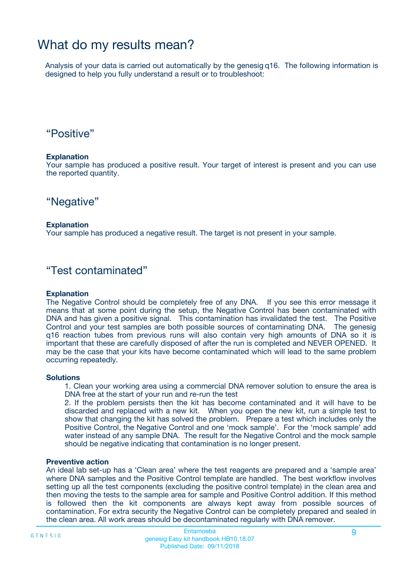## What do my results mean?

Analysis of your data is carried out automatically by the genesig q16. The following information is designed to help you fully understand a result or to troubleshoot:

### "Positive"

#### **Explanation**

Your sample has produced a positive result. Your target of interest is present and you can use the reported quantity.

"Negative"

#### **Explanation**

Your sample has produced a negative result. The target is not present in your sample.

### "Test contaminated"

#### **Explanation**

The Negative Control should be completely free of any DNA. If you see this error message it means that at some point during the setup, the Negative Control has been contaminated with DNA and has given a positive signal. This contamination has invalidated the test. The Positive Control and your test samples are both possible sources of contaminating DNA. The genesig q16 reaction tubes from previous runs will also contain very high amounts of DNA so it is important that these are carefully disposed of after the run is completed and NEVER OPENED. It may be the case that your kits have become contaminated which will lead to the same problem occurring repeatedly.

#### **Solutions**

1. Clean your working area using a commercial DNA remover solution to ensure the area is DNA free at the start of your run and re-run the test

2. If the problem persists then the kit has become contaminated and it will have to be discarded and replaced with a new kit. When you open the new kit, run a simple test to show that changing the kit has solved the problem. Prepare a test which includes only the Positive Control, the Negative Control and one 'mock sample'. For the 'mock sample' add water instead of any sample DNA. The result for the Negative Control and the mock sample should be negative indicating that contamination is no longer present.

#### **Preventive action**

An ideal lab set-up has a 'Clean area' where the test reagents are prepared and a 'sample area' where DNA samples and the Positive Control template are handled. The best workflow involves setting up all the test components (excluding the positive control template) in the clean area and then moving the tests to the sample area for sample and Positive Control addition. If this method is followed then the kit components are always kept away from possible sources of contamination. For extra security the Negative Control can be completely prepared and sealed in the clean area. All work areas should be decontaminated regularly with DNA remover.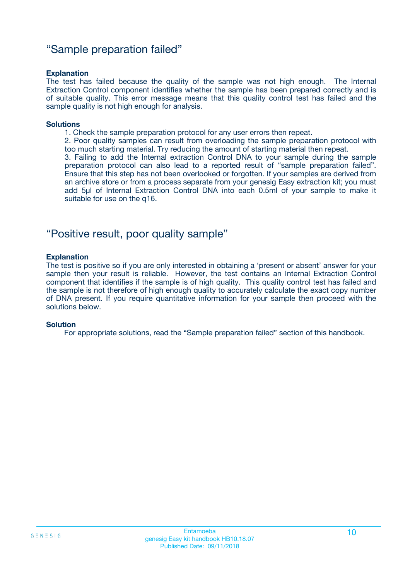### "Sample preparation failed"

#### **Explanation**

The test has failed because the quality of the sample was not high enough. The Internal Extraction Control component identifies whether the sample has been prepared correctly and is of suitable quality. This error message means that this quality control test has failed and the sample quality is not high enough for analysis.

#### **Solutions**

1. Check the sample preparation protocol for any user errors then repeat.

2. Poor quality samples can result from overloading the sample preparation protocol with too much starting material. Try reducing the amount of starting material then repeat.

3. Failing to add the Internal extraction Control DNA to your sample during the sample preparation protocol can also lead to a reported result of "sample preparation failed". Ensure that this step has not been overlooked or forgotten. If your samples are derived from an archive store or from a process separate from your genesig Easy extraction kit; you must add 5µl of Internal Extraction Control DNA into each 0.5ml of your sample to make it suitable for use on the q16.

### "Positive result, poor quality sample"

#### **Explanation**

The test is positive so if you are only interested in obtaining a 'present or absent' answer for your sample then your result is reliable. However, the test contains an Internal Extraction Control component that identifies if the sample is of high quality. This quality control test has failed and the sample is not therefore of high enough quality to accurately calculate the exact copy number of DNA present. If you require quantitative information for your sample then proceed with the solutions below.

#### **Solution**

For appropriate solutions, read the "Sample preparation failed" section of this handbook.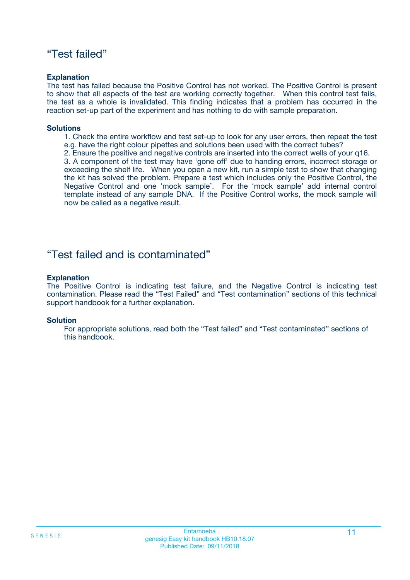### "Test failed"

#### **Explanation**

The test has failed because the Positive Control has not worked. The Positive Control is present to show that all aspects of the test are working correctly together. When this control test fails, the test as a whole is invalidated. This finding indicates that a problem has occurred in the reaction set-up part of the experiment and has nothing to do with sample preparation.

#### **Solutions**

- 1. Check the entire workflow and test set-up to look for any user errors, then repeat the test e.g. have the right colour pipettes and solutions been used with the correct tubes?
- 2. Ensure the positive and negative controls are inserted into the correct wells of your q16.

3. A component of the test may have 'gone off' due to handing errors, incorrect storage or exceeding the shelf life. When you open a new kit, run a simple test to show that changing the kit has solved the problem. Prepare a test which includes only the Positive Control, the Negative Control and one 'mock sample'. For the 'mock sample' add internal control template instead of any sample DNA. If the Positive Control works, the mock sample will now be called as a negative result.

### "Test failed and is contaminated"

#### **Explanation**

The Positive Control is indicating test failure, and the Negative Control is indicating test contamination. Please read the "Test Failed" and "Test contamination" sections of this technical support handbook for a further explanation.

#### **Solution**

For appropriate solutions, read both the "Test failed" and "Test contaminated" sections of this handbook.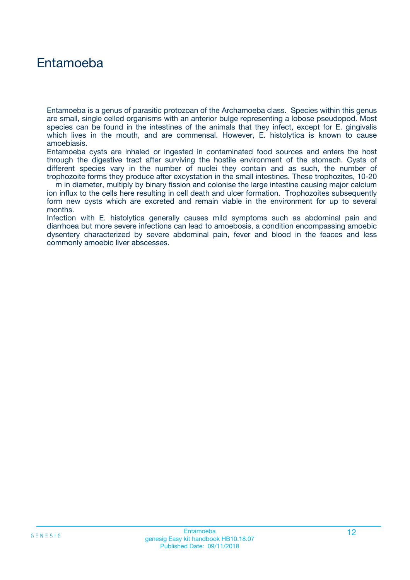## Entamoeba

Entamoeba is a genus of parasitic protozoan of the Archamoeba class. Species within this genus are small, single celled organisms with an anterior bulge representing a lobose pseudopod. Most species can be found in the intestines of the animals that they infect, except for E. gingivalis which lives in the mouth, and are commensal. However, E. histolytica is known to cause amoebiasis.

Entamoeba cysts are inhaled or ingested in contaminated food sources and enters the host through the digestive tract after surviving the hostile environment of the stomach. Cysts of different species vary in the number of nuclei they contain and as such, the number of trophozoite forms they produce after excystation in the small intestines. These trophozites, 10-20

m in diameter, multiply by binary fission and colonise the large intestine causing major calcium ion influx to the cells here resulting in cell death and ulcer formation. Trophozoites subsequently form new cysts which are excreted and remain viable in the environment for up to several months.

Infection with E. histolytica generally causes mild symptoms such as abdominal pain and diarrhoea but more severe infections can lead to amoebosis, a condition encompassing amoebic dysentery characterized by severe abdominal pain, fever and blood in the feaces and less commonly amoebic liver abscesses.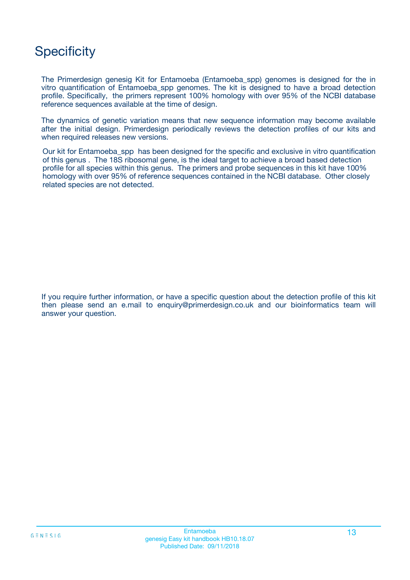## **Specificity**

The Primerdesign genesig Kit for Entamoeba (Entamoeba\_spp) genomes is designed for the in vitro quantification of Entamoeba\_spp genomes. The kit is designed to have a broad detection profile. Specifically, the primers represent 100% homology with over 95% of the NCBI database reference sequences available at the time of design.

The dynamics of genetic variation means that new sequence information may become available after the initial design. Primerdesign periodically reviews the detection profiles of our kits and when required releases new versions.

Our kit for Entamoeba\_spp has been designed for the specific and exclusive in vitro quantification of this genus . The 18S ribosomal gene, is the ideal target to achieve a broad based detection profile for all species within this genus. The primers and probe sequences in this kit have 100% homology with over 95% of reference sequences contained in the NCBI database. Other closely related species are not detected.

If you require further information, or have a specific question about the detection profile of this kit then please send an e.mail to enquiry@primerdesign.co.uk and our bioinformatics team will answer your question.